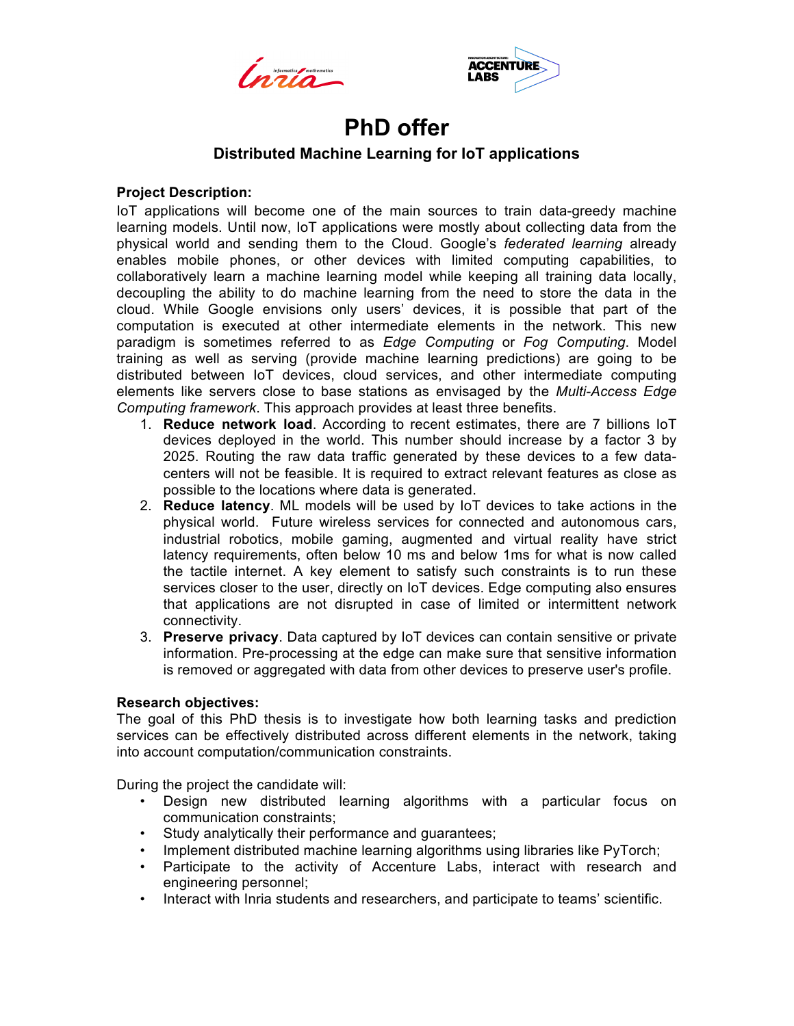



# **PhD offer**

# **Distributed Machine Learning for IoT applications**

## **Project Description:**

IoT applications will become one of the main sources to train data-greedy machine learning models. Until now, IoT applications were mostly about collecting data from the physical world and sending them to the Cloud. Google's *federated learning* already enables mobile phones, or other devices with limited computing capabilities, to collaboratively learn a machine learning model while keeping all training data locally, decoupling the ability to do machine learning from the need to store the data in the cloud. While Google envisions only users' devices, it is possible that part of the computation is executed at other intermediate elements in the network. This new paradigm is sometimes referred to as *Edge Computing* or *Fog Computing*. Model training as well as serving (provide machine learning predictions) are going to be distributed between IoT devices, cloud services, and other intermediate computing elements like servers close to base stations as envisaged by the *Multi-Access Edge Computing framework*. This approach provides at least three benefits.

- 1. **Reduce network load**. According to recent estimates, there are 7 billions IoT devices deployed in the world. This number should increase by a factor 3 by 2025. Routing the raw data traffic generated by these devices to a few datacenters will not be feasible. It is required to extract relevant features as close as possible to the locations where data is generated.
- 2. **Reduce latency**. ML models will be used by IoT devices to take actions in the physical world. Future wireless services for connected and autonomous cars, industrial robotics, mobile gaming, augmented and virtual reality have strict latency requirements, often below 10 ms and below 1ms for what is now called the tactile internet. A key element to satisfy such constraints is to run these services closer to the user, directly on IoT devices. Edge computing also ensures that applications are not disrupted in case of limited or intermittent network connectivity.
- 3. **Preserve privacy**. Data captured by IoT devices can contain sensitive or private information. Pre-processing at the edge can make sure that sensitive information is removed or aggregated with data from other devices to preserve user's profile.

# **Research objectives:**

The goal of this PhD thesis is to investigate how both learning tasks and prediction services can be effectively distributed across different elements in the network, taking into account computation/communication constraints.

During the project the candidate will:

- Design new distributed learning algorithms with a particular focus on communication constraints;
- Study analytically their performance and guarantees;
- Implement distributed machine learning algorithms using libraries like PyTorch;
- Participate to the activity of Accenture Labs, interact with research and engineering personnel;
- Interact with Inria students and researchers, and participate to teams' scientific.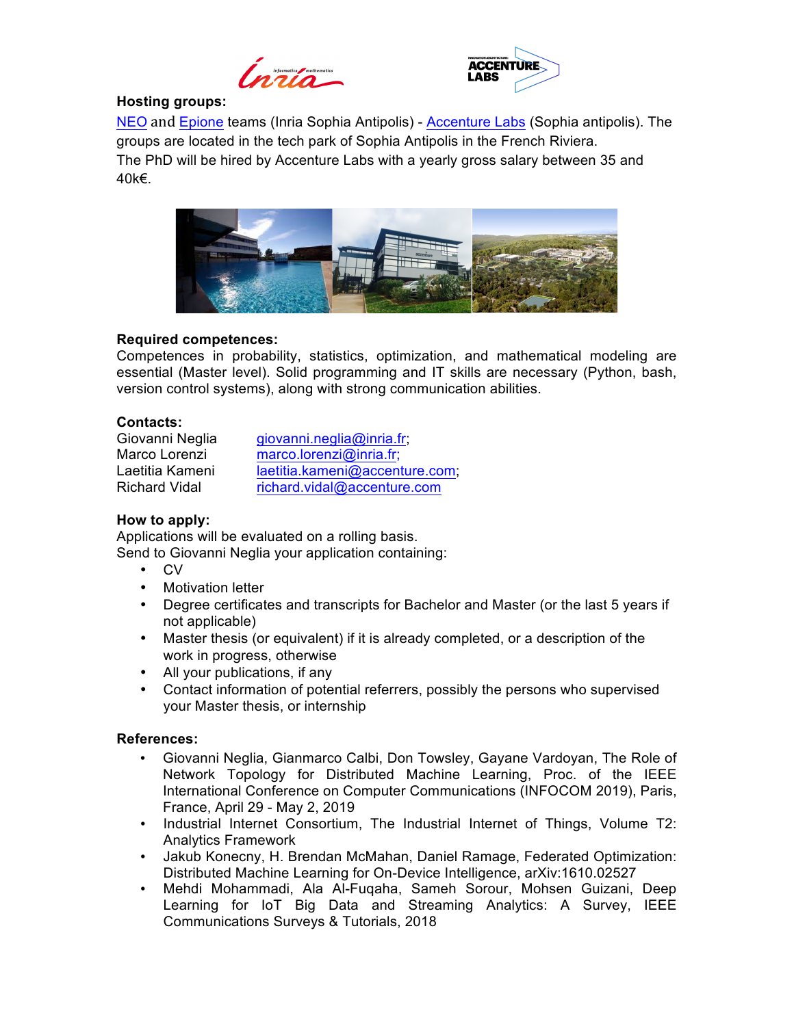



## **Hosting groups:**

NEO and Epione teams (Inria Sophia Antipolis) - Accenture Labs (Sophia antipolis). The groups are located in the tech park of Sophia Antipolis in the French Riviera. The PhD will be hired by Accenture Labs with a yearly gross salary between 35 and 40k€.



### **Required competences:**

Competences in probability, statistics, optimization, and mathematical modeling are essential (Master level). Solid programming and IT skills are necessary (Python, bash, version control systems), along with strong communication abilities.

### **Contacts:**

Giovanni Neglia *giovanni.neglia@inria.fr*; Marco Lorenzi marco.lorenzi@inria.fr; Laetitia Kameni laetitia.kameni@accenture.com; Richard Vidal richard.vidal@accenture.com

# **How to apply:**

Applications will be evaluated on a rolling basis. Send to Giovanni Neglia your application containing:

- CV
- Motivation letter
- Degree certificates and transcripts for Bachelor and Master (or the last 5 years if not applicable)
- Master thesis (or equivalent) if it is already completed, or a description of the work in progress, otherwise
- All your publications, if any
- Contact information of potential referrers, possibly the persons who supervised your Master thesis, or internship

### **References:**

- Giovanni Neglia, Gianmarco Calbi, Don Towsley, Gayane Vardoyan, The Role of Network Topology for Distributed Machine Learning, Proc. of the IEEE International Conference on Computer Communications (INFOCOM 2019), Paris, France, April 29 - May 2, 2019
- Industrial Internet Consortium, The Industrial Internet of Things, Volume T2: Analytics Framework
- Jakub Konecny, H. Brendan McMahan, Daniel Ramage, Federated Optimization: Distributed Machine Learning for On-Device Intelligence, arXiv:1610.02527
- Mehdi Mohammadi, Ala Al-Fuqaha, Sameh Sorour, Mohsen Guizani, Deep Learning for IoT Big Data and Streaming Analytics: A Survey, IEEE Communications Surveys & Tutorials, 2018